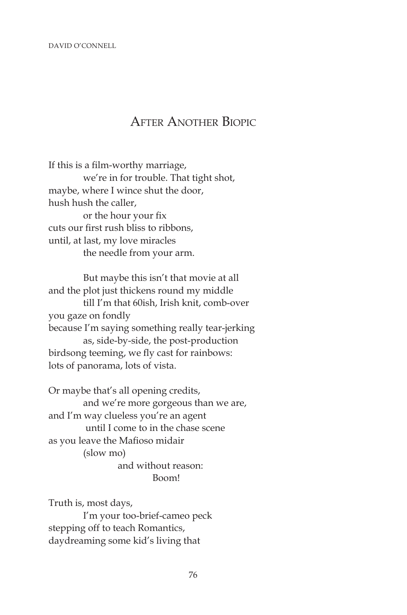DAVID O'CONNELL

## After Another Biopic

If this is a film-worthy marriage, we're in for trouble. That tight shot, maybe, where I wince shut the door, hush hush the caller, or the hour your fix cuts our first rush bliss to ribbons, until, at last, my love miracles the needle from your arm.

 But maybe this isn't that movie at all and the plot just thickens round my middle till I'm that 60ish, Irish knit, comb-over you gaze on fondly because I'm saying something really tear-jerking as, side-by-side, the post-production birdsong teeming, we fly cast for rainbows: lots of panorama, lots of vista.

Or maybe that's all opening credits, and we're more gorgeous than we are, and I'm way clueless you're an agent until I come to in the chase scene as you leave the Mafioso midair (slow mo) and without reason: Boom!

Truth is, most days, I'm your too-brief-cameo peck stepping off to teach Romantics, daydreaming some kid's living that